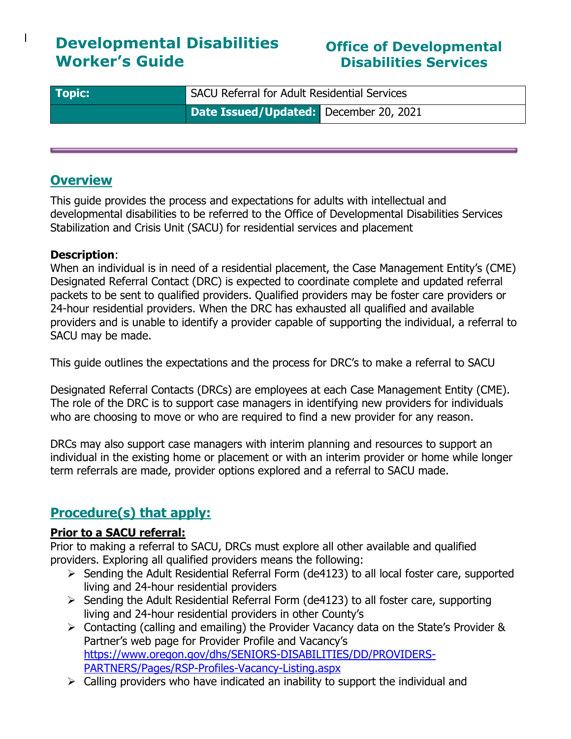# **Developmental Disabilities Worker's Guide**

# **Office of Developmental Disabilities Services**

| <b>Topic:</b> | SACU Referral for Adult Residential Services |
|---------------|----------------------------------------------|
|               | Date Issued/Updated: December 20, 2021       |

## **Overview**

 $\overline{1}$ 

This guide provides the process and expectations for adults with intellectual and developmental disabilities to be referred to the Office of Developmental Disabilities Services Stabilization and Crisis Unit (SACU) for residential services and placement

#### **Description**:

When an individual is in need of a residential placement, the Case Management Entity's (CME) Designated Referral Contact (DRC) is expected to coordinate complete and updated referral packets to be sent to qualified providers. Qualified providers may be foster care providers or 24-hour residential providers. When the DRC has exhausted all qualified and available providers and is unable to identify a provider capable of supporting the individual, a referral to SACU may be made.

This guide outlines the expectations and the process for DRC's to make a referral to SACU

Designated Referral Contacts (DRCs) are employees at each Case Management Entity (CME). The role of the DRC is to support case managers in identifying new providers for individuals who are choosing to move or who are required to find a new provider for any reason.

DRCs may also support case managers with interim planning and resources to support an individual in the existing home or placement or with an interim provider or home while longer term referrals are made, provider options explored and a referral to SACU made.

# **Procedure(s) that apply:**

### **Prior to a SACU referral:**

Prior to making a referral to SACU, DRCs must explore all other available and qualified providers. Exploring all qualified providers means the following:

- ➢ Sending the Adult Residential Referral Form (de4123) to all local foster care, supported living and 24-hour residential providers
- ➢ Sending the Adult Residential Referral Form (de4123) to all foster care, supporting living and 24-hour residential providers in other County's
- ➢ Contacting (calling and emailing) the Provider Vacancy data on the State's Provider & Partner's web page for Provider Profile and Vacancy's [https://www.oregon.gov/dhs/SENIORS-DISABILITIES/DD/PROVIDERS-](https://www.oregon.gov/dhs/SENIORS-DISABILITIES/DD/PROVIDERS-PARTNERS/Pages/RSP-Profiles-Vacancy-Listing.aspx)[PARTNERS/Pages/RSP-Profiles-Vacancy-Listing.aspx](https://www.oregon.gov/dhs/SENIORS-DISABILITIES/DD/PROVIDERS-PARTNERS/Pages/RSP-Profiles-Vacancy-Listing.aspx)
- $\triangleright$  Calling providers who have indicated an inability to support the individual and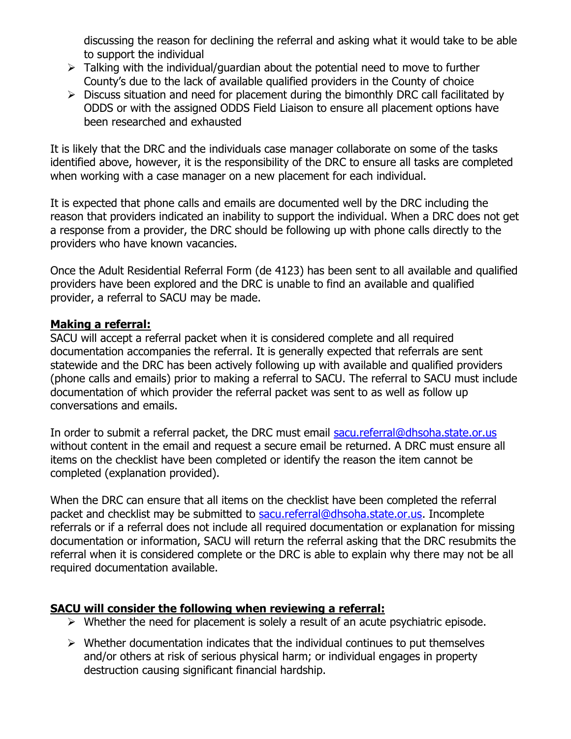discussing the reason for declining the referral and asking what it would take to be able to support the individual

- $\triangleright$  Talking with the individual/guardian about the potential need to move to further County's due to the lack of available qualified providers in the County of choice
- $\triangleright$  Discuss situation and need for placement during the bimonthly DRC call facilitated by ODDS or with the assigned ODDS Field Liaison to ensure all placement options have been researched and exhausted

It is likely that the DRC and the individuals case manager collaborate on some of the tasks identified above, however, it is the responsibility of the DRC to ensure all tasks are completed when working with a case manager on a new placement for each individual.

It is expected that phone calls and emails are documented well by the DRC including the reason that providers indicated an inability to support the individual. When a DRC does not get a response from a provider, the DRC should be following up with phone calls directly to the providers who have known vacancies.

Once the Adult Residential Referral Form (de 4123) has been sent to all available and qualified providers have been explored and the DRC is unable to find an available and qualified provider, a referral to SACU may be made.

#### **Making a referral:**

SACU will accept a referral packet when it is considered complete and all required documentation accompanies the referral. It is generally expected that referrals are sent statewide and the DRC has been actively following up with available and qualified providers (phone calls and emails) prior to making a referral to SACU. The referral to SACU must include documentation of which provider the referral packet was sent to as well as follow up conversations and emails.

In order to submit a referral packet, the DRC must email [sacu.referral@dhsoha.state.or.us](mailto:sacu.referral@dhsoha.state.or.us) without content in the email and request a secure email be returned. A DRC must ensure all items on the checklist have been completed or identify the reason the item cannot be completed (explanation provided).

When the DRC can ensure that all items on the checklist have been completed the referral packet and checklist may be submitted to [sacu.referral@dhsoha.state.or.us.](mailto:sacu.referral@dhsoha.state.or.us) Incomplete referrals or if a referral does not include all required documentation or explanation for missing documentation or information, SACU will return the referral asking that the DRC resubmits the referral when it is considered complete or the DRC is able to explain why there may not be all required documentation available.

### **SACU will consider the following when reviewing a referral:**

- ➢ Whether the need for placement is solely a result of an acute psychiatric episode.
- $\triangleright$  Whether documentation indicates that the individual continues to put themselves and/or others at risk of serious physical harm; or individual engages in property destruction causing significant financial hardship.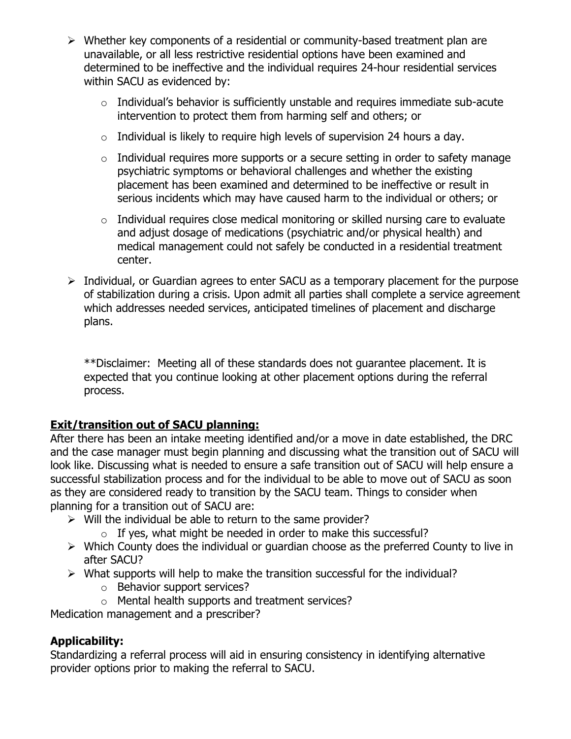- ➢ Whether key components of a residential or community-based treatment plan are unavailable, or all less restrictive residential options have been examined and determined to be ineffective and the individual requires 24-hour residential services within SACU as evidenced by:
	- $\circ$  Individual's behavior is sufficiently unstable and requires immediate sub-acute intervention to protect them from harming self and others; or
	- $\circ$  Individual is likely to require high levels of supervision 24 hours a day.
	- $\circ$  Individual requires more supports or a secure setting in order to safety manage psychiatric symptoms or behavioral challenges and whether the existing placement has been examined and determined to be ineffective or result in serious incidents which may have caused harm to the individual or others; or
	- $\circ$  Individual requires close medical monitoring or skilled nursing care to evaluate and adjust dosage of medications (psychiatric and/or physical health) and medical management could not safely be conducted in a residential treatment center.
- ➢ Individual, or Guardian agrees to enter SACU as a temporary placement for the purpose of stabilization during a crisis. Upon admit all parties shall complete a service agreement which addresses needed services, anticipated timelines of placement and discharge plans.

\*\*Disclaimer: Meeting all of these standards does not guarantee placement. It is expected that you continue looking at other placement options during the referral process.

### **Exit/transition out of SACU planning:**

After there has been an intake meeting identified and/or a move in date established, the DRC and the case manager must begin planning and discussing what the transition out of SACU will look like. Discussing what is needed to ensure a safe transition out of SACU will help ensure a successful stabilization process and for the individual to be able to move out of SACU as soon as they are considered ready to transition by the SACU team. Things to consider when planning for a transition out of SACU are:

- $\triangleright$  Will the individual be able to return to the same provider?
	- $\circ$  If yes, what might be needed in order to make this successful?
- ➢ Which County does the individual or guardian choose as the preferred County to live in after SACU?
- $\triangleright$  What supports will help to make the transition successful for the individual?
	- o Behavior support services?
	- o Mental health supports and treatment services?

Medication management and a prescriber?

### **Applicability:**

Standardizing a referral process will aid in ensuring consistency in identifying alternative provider options prior to making the referral to SACU.